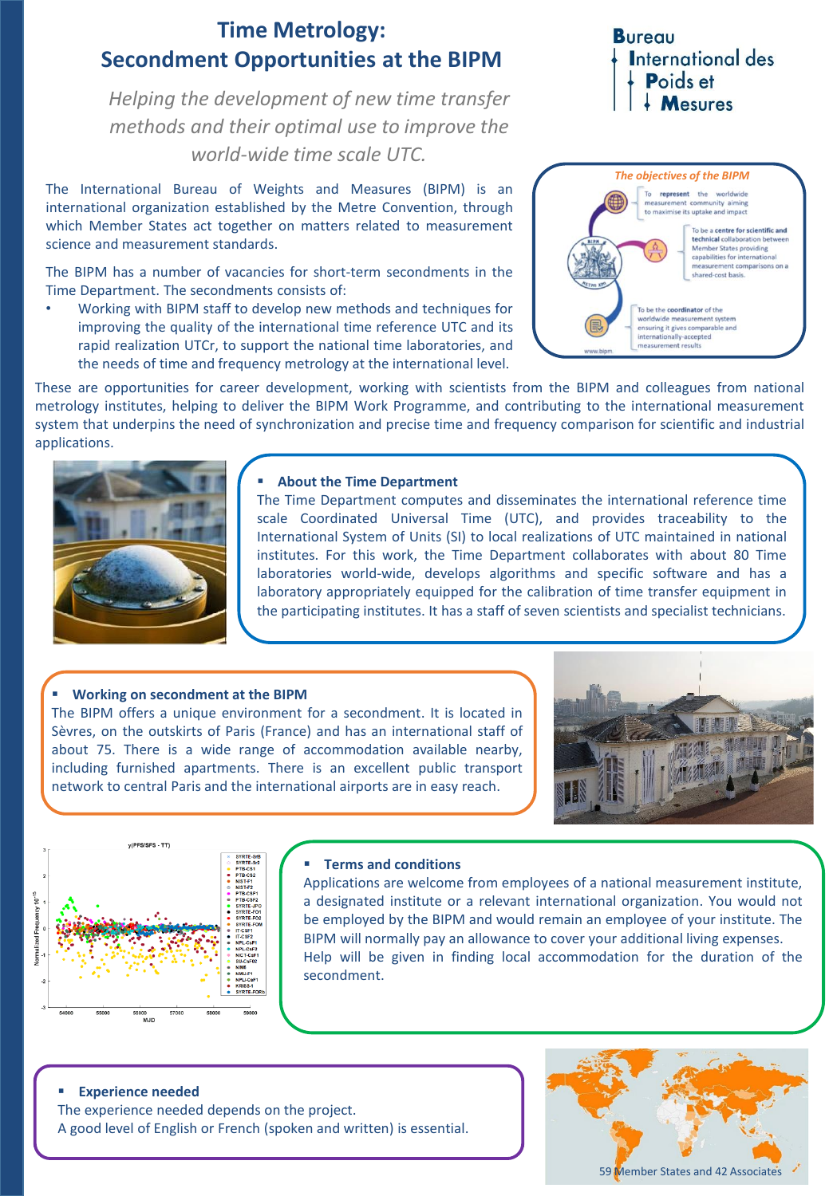# **Time Metrology: Secondment Opportunities at the BIPM**

*Helping the development of new time transfer methods and their optimal use to improve the world-wide time scale UTC.*

The International Bureau of Weights and Measures (BIPM) is an international organization established by the Metre Convention, through which Member States act together on matters related to measurement science and measurement standards.

The BIPM has a number of vacancies for short-term secondments in the Time Department. The secondments consists of:

• Working with BIPM staff to develop new methods and techniques for improving the quality of the international time reference UTC and its rapid realization UTCr, to support the national time laboratories, and the needs of time and frequency metrology at the international level.

## **Bureau International des** Poids et  $\frac{1}{2}$  Mesures



These are opportunities for career development, working with scientists from the BIPM and colleagues from national metrology institutes, helping to deliver the BIPM Work Programme, and contributing to the international measurement system that underpins the need of synchronization and precise time and frequency comparison for scientific and industrial applications.



#### ▪ **About the Time Department**

The Time Department computes and disseminates the international reference time scale Coordinated Universal Time (UTC), and provides traceability to the International System of Units (SI) to local realizations of UTC maintained in national institutes. For this work, the Time Department collaborates with about 80 Time laboratories world-wide, develops algorithms and specific software and has a laboratory appropriately equipped for the calibration of time transfer equipment in the participating institutes. It has a staff of seven scientists and specialist technicians.

## ▪ **Working on secondment at the BIPM**

The BIPM offers a unique environment for a secondment. It is located in Sèvres, on the outskirts of Paris (France) and has an international staff of about 75. There is a wide range of accommodation available nearby, including furnished apartments. There is an excellent public transport network to central Paris and the international airports are in easy reach.





#### ▪ **Terms and conditions**

Applications are welcome from employees of a national measurement institute, a designated institute or a relevant international organization. You would not be employed by the BIPM and would remain an employee of your institute. The BIPM will normally pay an allowance to cover your additional living expenses. Help will be given in finding local accommodation for the duration of the secondment.

#### **Experience needed**

The experience needed depends on the project. A good level of English or French (spoken and written) is essential.